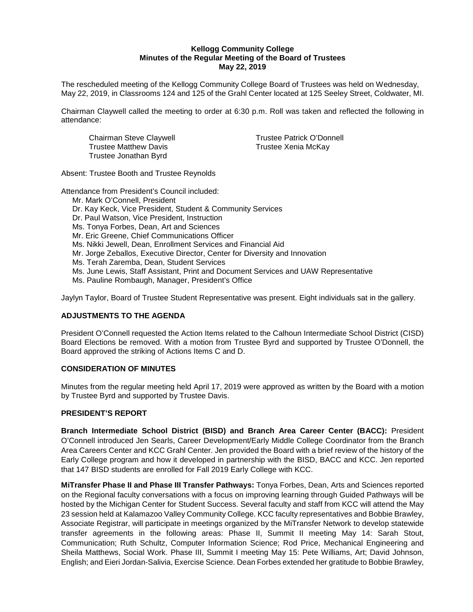#### **Kellogg Community College Minutes of the Regular Meeting of the Board of Trustees May 22, 2019**

The rescheduled meeting of the Kellogg Community College Board of Trustees was held on Wednesday, May 22, 2019, in Classrooms 124 and 125 of the Grahl Center located at 125 Seeley Street, Coldwater, MI.

Chairman Claywell called the meeting to order at 6:30 p.m. Roll was taken and reflected the following in attendance:

Trustee Matthew Davis Trustee Xenia McKay Trustee Jonathan Byrd

Chairman Steve Claywell **Trustee Patrick O'Donnell** 

Absent: Trustee Booth and Trustee Reynolds

Attendance from President's Council included:

Mr. Mark O'Connell, President Dr. Kay Keck, Vice President, Student & Community Services Dr. Paul Watson, Vice President, Instruction Ms. Tonya Forbes, Dean, Art and Sciences Mr. Eric Greene, Chief Communications Officer Ms. Nikki Jewell, Dean, Enrollment Services and Financial Aid Mr. Jorge Zeballos, Executive Director, Center for Diversity and Innovation Ms. Terah Zaremba, Dean, Student Services Ms. June Lewis, Staff Assistant, Print and Document Services and UAW Representative Ms. Pauline Rombaugh, Manager, President's Office

Jaylyn Taylor, Board of Trustee Student Representative was present. Eight individuals sat in the gallery.

# **ADJUSTMENTS TO THE AGENDA**

President O'Connell requested the Action Items related to the Calhoun Intermediate School District (CISD) Board Elections be removed. With a motion from Trustee Byrd and supported by Trustee O'Donnell, the Board approved the striking of Actions Items C and D.

#### **CONSIDERATION OF MINUTES**

Minutes from the regular meeting held April 17, 2019 were approved as written by the Board with a motion by Trustee Byrd and supported by Trustee Davis.

### **PRESIDENT'S REPORT**

**Branch Intermediate School District (BISD) and Branch Area Career Center (BACC):** President O'Connell introduced Jen Searls, Career Development/Early Middle College Coordinator from the Branch Area Careers Center and KCC Grahl Center. Jen provided the Board with a brief review of the history of the Early College program and how it developed in partnership with the BISD, BACC and KCC. Jen reported that 147 BISD students are enrolled for Fall 2019 Early College with KCC.

**MiTransfer Phase II and Phase III Transfer Pathways:** Tonya Forbes, Dean, Arts and Sciences reported on the Regional faculty conversations with a focus on improving learning through Guided Pathways will be hosted by the Michigan Center for Student Success. Several faculty and staff from KCC will attend the May 23 session held at Kalamazoo Valley Community College. KCC faculty representatives and Bobbie Brawley, Associate Registrar, will participate in meetings organized by the MiTransfer Network to develop statewide transfer agreements in the following areas: Phase II, Summit II meeting May 14: Sarah Stout, Communication; Ruth Schultz, Computer Information Science; Rod Price, Mechanical Engineering and Sheila Matthews, Social Work. Phase III, Summit I meeting May 15: Pete Williams, Art; David Johnson, English; and Eieri Jordan-Salivia, Exercise Science. Dean Forbes extended her gratitude to Bobbie Brawley,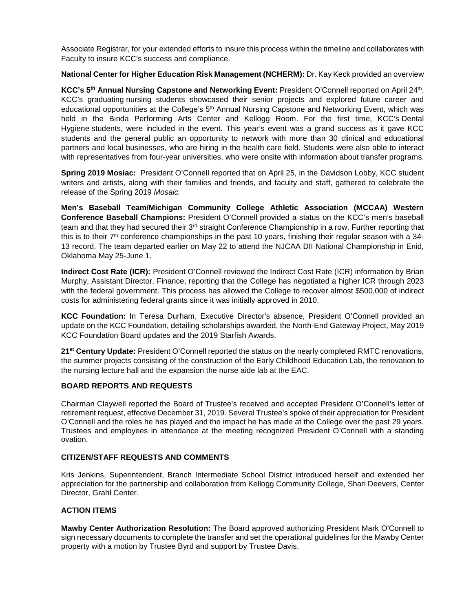Associate Registrar, for your extended efforts to insure this process within the timeline and collaborates with Faculty to insure KCC's success and compliance.

**National Center for Higher Education Risk Management (NCHERM):** Dr. Kay Keck provided an overview

**KCC's 5th Annual Nursing Capstone and Networking Event:** President O'Connell reported on April 24th, KCC's graduating [nursing](http://www.kellogg.edu/nursing) students showcased their senior projects and explored future career and educational opportunities at the College's 5<sup>th</sup> Annual Nursing Capstone and Networking Event, which was held in the Binda Performing Arts Center and Kellogg Room. For the first time, KCC's [Dental](http://www.kellogg.edu/dentalhygiene)  [Hygiene](http://www.kellogg.edu/dentalhygiene) students, were included in the event. This year's event was a grand success as it gave KCC students and the general public an opportunity to network with more than 30 clinical and educational partners and local businesses, who are hiring in the health care field. Students were also able to interact with representatives from four-year universities, who were onsite with information about transfer programs.

**Spring 2019 Mosiac:** President O'Connell reported that on April 25, in the Davidson Lobby, KCC student writers and artists, along with their families and friends, and faculty and staff, gathered to celebrate the release of the Spring 2019 *Mosaic.*

**Men's Baseball Team/Michigan Community College Athletic Association (MCCAA) Western Conference Baseball Champions:** President O'Connell provided a status on the KCC's men's baseball team and that they had secured their 3<sup>rd</sup> straight Conference Championship in a row. Further reporting that this is to their  $7<sup>th</sup>$  conference championships in the past 10 years, finishing their regular season with a 34-13 record. The team departed earlier on May 22 to attend the NJCAA DII National Championship in Enid, Oklahoma May 25-June 1.

**Indirect Cost Rate (ICR):** President O'Connell reviewed the Indirect Cost Rate (ICR) information by Brian Murphy, Assistant Director, Finance, reporting that the College has negotiated a higher ICR through 2023 with the federal government. This process has allowed the College to recover almost \$500,000 of indirect costs for administering federal grants since it was initially approved in 2010.

**KCC Foundation:** In Teresa Durham, Executive Director's absence, President O'Connell provided an update on the KCC Foundation, detailing scholarships awarded, the North-End Gateway Project, May 2019 KCC Foundation Board updates and the 2019 Starfish Awards.

**21st Century Update:** President O'Connell reported the status on the nearly completed RMTC renovations, the summer projects consisting of the construction of the Early Childhood Education Lab, the renovation to the nursing lecture hall and the expansion the nurse aide lab at the EAC.

## **BOARD REPORTS AND REQUESTS**

Chairman Claywell reported the Board of Trustee's received and accepted President O'Connell's letter of retirement request, effective December 31, 2019. Several Trustee's spoke of their appreciation for President O'Connell and the roles he has played and the impact he has made at the College over the past 29 years. Trustees and employees in attendance at the meeting recognized President O'Connell with a standing ovation.

#### **CITIZEN/STAFF REQUESTS AND COMMENTS**

Kris Jenkins, Superintendent, Branch Intermediate School District introduced herself and extended her appreciation for the partnership and collaboration from Kellogg Community College, Shari Deevers, Center Director, Grahl Center.

### **ACTION ITEMS**

**Mawby Center Authorization Resolution:** The Board approved authorizing President Mark O'Connell to sign necessary documents to complete the transfer and set the operational guidelines for the Mawby Center property with a motion by Trustee Byrd and support by Trustee Davis.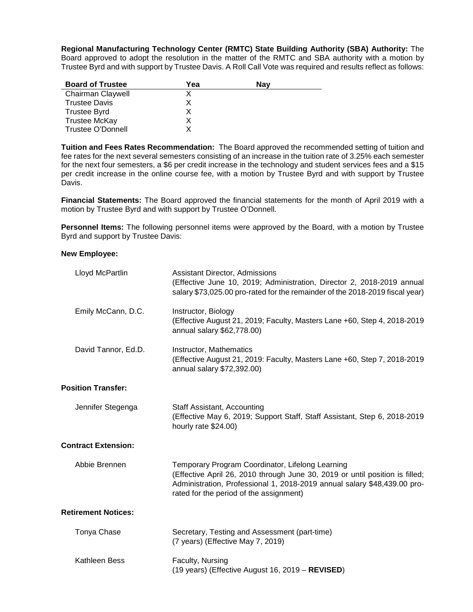**Regional Manufacturing Technology Center (RMTC) State Building Authority (SBA) Authority:** The Board approved to adopt the resolution in the matter of the RMTC and SBA authority with a motion by Trustee Byrd and with support by Trustee Davis. A Roll Call Vote was required and results reflect as follows:

| <b>Board of Trustee</b> | Yea | Nav |
|-------------------------|-----|-----|
| Chairman Claywell       |     |     |
| <b>Trustee Davis</b>    |     |     |
| <b>Trustee Byrd</b>     |     |     |
| <b>Trustee McKay</b>    |     |     |
| Trustee O'Donnell       |     |     |

**Tuition and Fees Rates Recommendation:** The Board approved the recommended setting of tuition and fee rates for the next several semesters consisting of an increase in the tuition rate of 3.25% each semester for the next four semesters, a \$6 per credit increase in the technology and student services fees and a \$15 per credit increase in the online course fee, with a motion by Trustee Byrd and with support by Trustee Davis.

**Financial Statements:** The Board approved the financial statements for the month of April 2019 with a motion by Trustee Byrd and with support by Trustee O'Donnell.

**Personnel Items:** The following personnel items were approved by the Board, with a motion by Trustee Byrd and support by Trustee Davis:

#### **New Employee:**

| Lloyd McPartlin            | <b>Assistant Director, Admissions</b><br>(Effective June 10, 2019; Administration, Director 2, 2018-2019 annual<br>salary \$73,025.00 pro-rated for the remainder of the 2018-2019 fiscal year)                                                         |
|----------------------------|---------------------------------------------------------------------------------------------------------------------------------------------------------------------------------------------------------------------------------------------------------|
| Emily McCann, D.C.         | Instructor, Biology<br>(Effective August 21, 2019; Faculty, Masters Lane +60, Step 4, 2018-2019<br>annual salary \$62,778.00)                                                                                                                           |
| David Tannor, Ed.D.        | Instructor, Mathematics<br>(Effective August 21, 2019: Faculty, Masters Lane +60, Step 7, 2018-2019<br>annual salary \$72,392.00)                                                                                                                       |
| <b>Position Transfer:</b>  |                                                                                                                                                                                                                                                         |
| Jennifer Stegenga          | Staff Assistant, Accounting<br>(Effective May 6, 2019; Support Staff, Staff Assistant, Step 6, 2018-2019<br>hourly rate \$24.00)                                                                                                                        |
| <b>Contract Extension:</b> |                                                                                                                                                                                                                                                         |
| Abbie Brennen              | Temporary Program Coordinator, Lifelong Learning<br>(Effective April 26, 2010 through June 30, 2019 or until position is filled;<br>Administration, Professional 1, 2018-2019 annual salary \$48,439.00 pro-<br>rated for the period of the assignment) |
| <b>Retirement Notices:</b> |                                                                                                                                                                                                                                                         |
| Tonya Chase                | Secretary, Testing and Assessment (part-time)<br>(7 years) (Effective May 7, 2019)                                                                                                                                                                      |
| Kathleen Bess              | Faculty, Nursing<br>(19 years) (Effective August 16, 2019 - REVISED)                                                                                                                                                                                    |